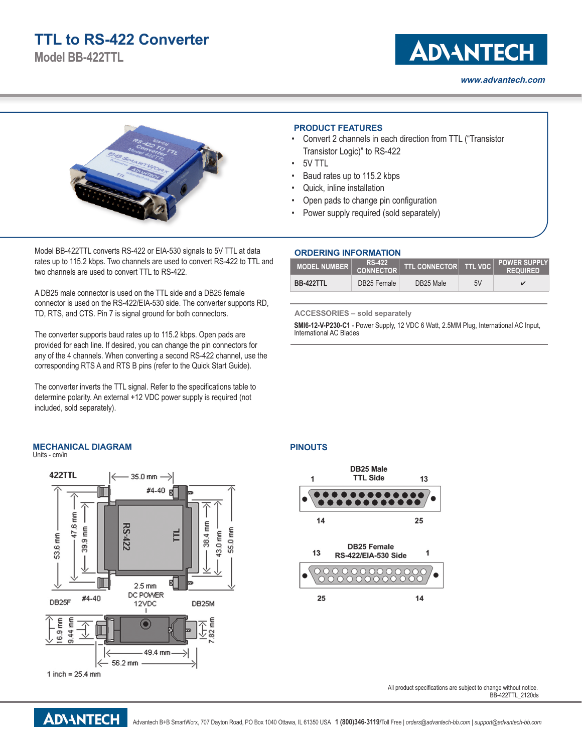## **TTL to RS-422 Converter**

**Model BB-422TTL**





Model BB-422TTL converts RS-422 or EIA-530 signals to 5V TTL at data rates up to 115.2 kbps. Two channels are used to convert RS-422 to TTL and two channels are used to convert TTL to RS-422.

A DB25 male connector is used on the TTL side and a DB25 female connector is used on the RS-422/EIA-530 side. The converter supports RD, TD, RTS, and CTS. Pin 7 is signal ground for both connectors.

The converter supports baud rates up to 115.2 kbps. Open pads are provided for each line. If desired, you can change the pin connectors for any of the 4 channels. When converting a second RS-422 channel, use the corresponding RTS A and RTS B pins (refer to the Quick Start Guide).

The converter inverts the TTL signal. Refer to the specifications table to determine polarity. An external +12 VDC power supply is required (not included, sold separately).

### **PRODUCT FEATURES**

- Convert 2 channels in each direction from TTL ("Transistor Transistor Logic)" to RS-422
- 5V TTL
- Baud rates up to 115.2 kbps
- Quick, inline installation
- Open pads to change pin configuration
- Power supply required (sold separately)

#### **ORDERING INFORMATION**

| <b>MODEL NUMBER</b> | <b>RS-422</b><br><b>CONNECTOR</b> | TTL CONNECTOR TTL VDC |    | <b>POWER SUPPLY</b><br><b>REQUIRED</b> |
|---------------------|-----------------------------------|-----------------------|----|----------------------------------------|
| <b>BB-422TTL</b>    | DB25 Female                       | DB <sub>25</sub> Male | 5V |                                        |

**ACCESSORIES – sold separately**

**SMI6-12-V-P230-C1** - Power Supply, 12 VDC 6 Watt, 2.5MM Plug, International AC Input, International AC Blades

#### **MECHANICAL DIAGRAM**

Units - cm/in



#### **PINOUTS**



All product specifications are subject to change without notice. BB-422TTL\_2120ds